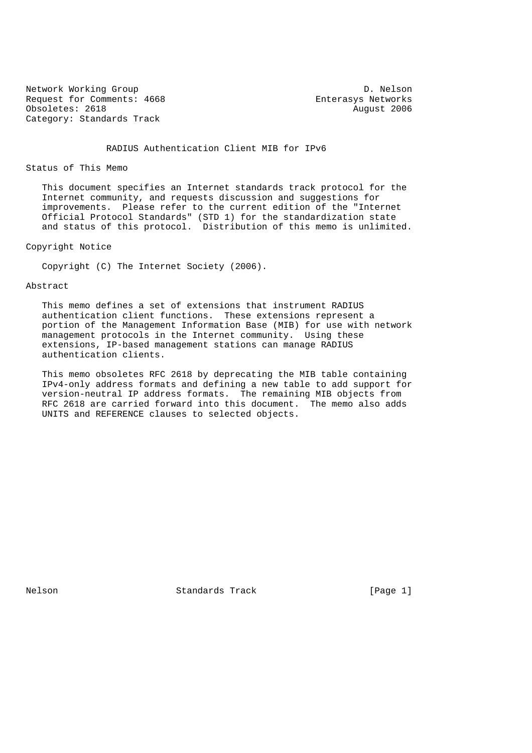Network Working Group Description of the U.S. of the U.S. of the U.S. of the U.S. of the U.S. of the U.S. of the U.S. of the U.S. of the U.S. of the U.S. of the U.S. of the U.S. of the U.S. of the U.S. of the U.S. of the U Request for Comments: 4668 Enterasys Networks Obsoletes: 2618 August 2006 Category: Standards Track

RADIUS Authentication Client MIB for IPv6

Status of This Memo

 This document specifies an Internet standards track protocol for the Internet community, and requests discussion and suggestions for improvements. Please refer to the current edition of the "Internet Official Protocol Standards" (STD 1) for the standardization state and status of this protocol. Distribution of this memo is unlimited.

Copyright Notice

Copyright (C) The Internet Society (2006).

Abstract

 This memo defines a set of extensions that instrument RADIUS authentication client functions. These extensions represent a portion of the Management Information Base (MIB) for use with network management protocols in the Internet community. Using these extensions, IP-based management stations can manage RADIUS authentication clients.

 This memo obsoletes RFC 2618 by deprecating the MIB table containing IPv4-only address formats and defining a new table to add support for version-neutral IP address formats. The remaining MIB objects from RFC 2618 are carried forward into this document. The memo also adds UNITS and REFERENCE clauses to selected objects.

Nelson **Standards Track** [Page 1]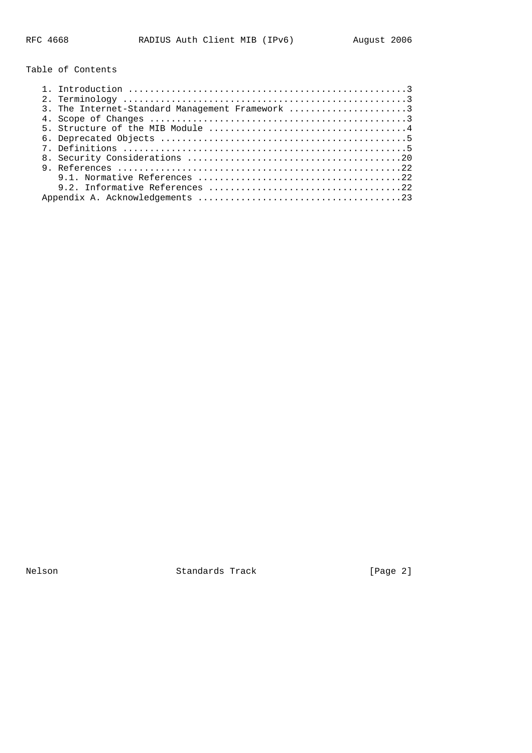Table of Contents

| 3. The Internet-Standard Management Framework 3 |
|-------------------------------------------------|
|                                                 |
|                                                 |
|                                                 |
|                                                 |
|                                                 |
|                                                 |
|                                                 |
|                                                 |
|                                                 |

Nelson **Standards Track** [Page 2]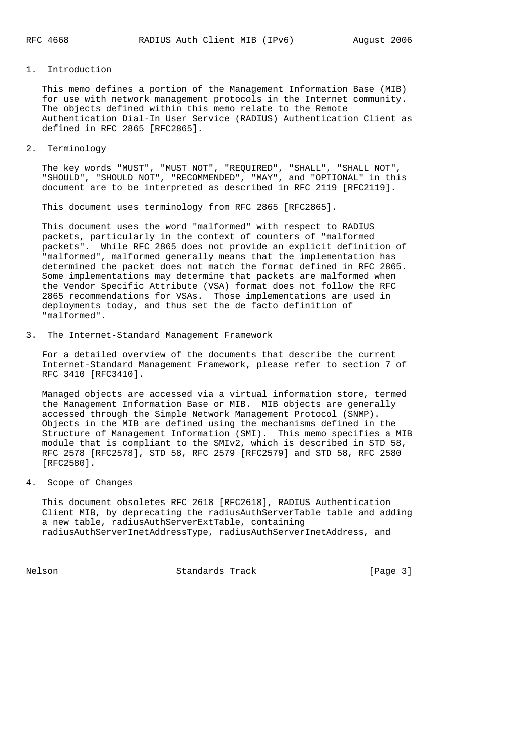### 1. Introduction

 This memo defines a portion of the Management Information Base (MIB) for use with network management protocols in the Internet community. The objects defined within this memo relate to the Remote Authentication Dial-In User Service (RADIUS) Authentication Client as defined in RFC 2865 [RFC2865].

2. Terminology

 The key words "MUST", "MUST NOT", "REQUIRED", "SHALL", "SHALL NOT", "SHOULD", "SHOULD NOT", "RECOMMENDED", "MAY", and "OPTIONAL" in this document are to be interpreted as described in RFC 2119 [RFC2119].

This document uses terminology from RFC 2865 [RFC2865].

 This document uses the word "malformed" with respect to RADIUS packets, particularly in the context of counters of "malformed packets". While RFC 2865 does not provide an explicit definition of "malformed", malformed generally means that the implementation has determined the packet does not match the format defined in RFC 2865. Some implementations may determine that packets are malformed when the Vendor Specific Attribute (VSA) format does not follow the RFC 2865 recommendations for VSAs. Those implementations are used in deployments today, and thus set the de facto definition of "malformed".

3. The Internet-Standard Management Framework

 For a detailed overview of the documents that describe the current Internet-Standard Management Framework, please refer to section 7 of RFC 3410 [RFC3410].

 Managed objects are accessed via a virtual information store, termed the Management Information Base or MIB. MIB objects are generally accessed through the Simple Network Management Protocol (SNMP). Objects in the MIB are defined using the mechanisms defined in the Structure of Management Information (SMI). This memo specifies a MIB module that is compliant to the SMIv2, which is described in STD 58, RFC 2578 [RFC2578], STD 58, RFC 2579 [RFC2579] and STD 58, RFC 2580 [RFC2580].

4. Scope of Changes

 This document obsoletes RFC 2618 [RFC2618], RADIUS Authentication Client MIB, by deprecating the radiusAuthServerTable table and adding a new table, radiusAuthServerExtTable, containing radiusAuthServerInetAddressType, radiusAuthServerInetAddress, and

Nelson **Standards Track** [Page 3]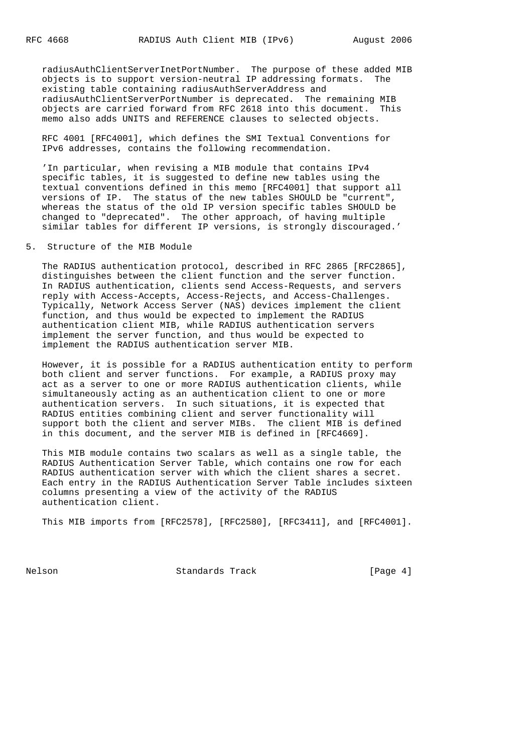radiusAuthClientServerInetPortNumber. The purpose of these added MIB objects is to support version-neutral IP addressing formats. The existing table containing radiusAuthServerAddress and radiusAuthClientServerPortNumber is deprecated. The remaining MIB objects are carried forward from RFC 2618 into this document. This memo also adds UNITS and REFERENCE clauses to selected objects.

 RFC 4001 [RFC4001], which defines the SMI Textual Conventions for IPv6 addresses, contains the following recommendation.

 'In particular, when revising a MIB module that contains IPv4 specific tables, it is suggested to define new tables using the textual conventions defined in this memo [RFC4001] that support all versions of IP. The status of the new tables SHOULD be "current", whereas the status of the old IP version specific tables SHOULD be changed to "deprecated". The other approach, of having multiple similar tables for different IP versions, is strongly discouraged.'

5. Structure of the MIB Module

 The RADIUS authentication protocol, described in RFC 2865 [RFC2865], distinguishes between the client function and the server function. In RADIUS authentication, clients send Access-Requests, and servers reply with Access-Accepts, Access-Rejects, and Access-Challenges. Typically, Network Access Server (NAS) devices implement the client function, and thus would be expected to implement the RADIUS authentication client MIB, while RADIUS authentication servers implement the server function, and thus would be expected to implement the RADIUS authentication server MIB.

 However, it is possible for a RADIUS authentication entity to perform both client and server functions. For example, a RADIUS proxy may act as a server to one or more RADIUS authentication clients, while simultaneously acting as an authentication client to one or more authentication servers. In such situations, it is expected that RADIUS entities combining client and server functionality will support both the client and server MIBs. The client MIB is defined in this document, and the server MIB is defined in [RFC4669].

 This MIB module contains two scalars as well as a single table, the RADIUS Authentication Server Table, which contains one row for each RADIUS authentication server with which the client shares a secret. Each entry in the RADIUS Authentication Server Table includes sixteen columns presenting a view of the activity of the RADIUS authentication client.

This MIB imports from [RFC2578], [RFC2580], [RFC3411], and [RFC4001].

Nelson **Standards Track** [Page 4]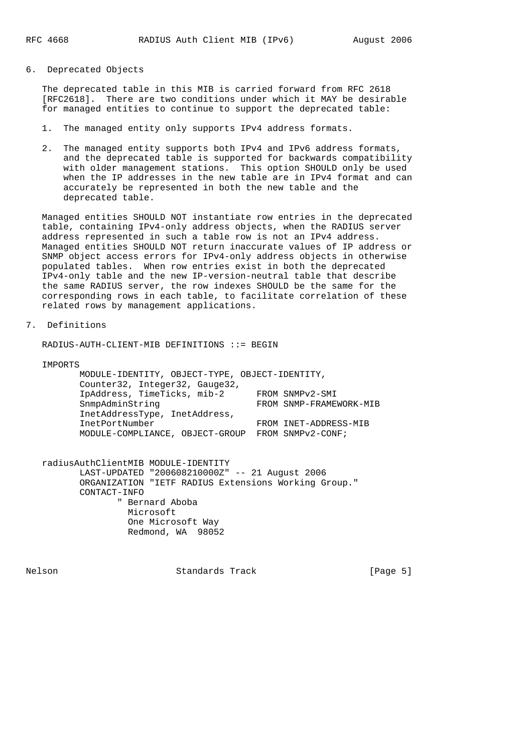6. Deprecated Objects

 The deprecated table in this MIB is carried forward from RFC 2618 [RFC2618]. There are two conditions under which it MAY be desirable for managed entities to continue to support the deprecated table:

- 1. The managed entity only supports IPv4 address formats.
- 2. The managed entity supports both IPv4 and IPv6 address formats, and the deprecated table is supported for backwards compatibility with older management stations. This option SHOULD only be used when the IP addresses in the new table are in IPv4 format and can accurately be represented in both the new table and the deprecated table.

 Managed entities SHOULD NOT instantiate row entries in the deprecated table, containing IPv4-only address objects, when the RADIUS server address represented in such a table row is not an IPv4 address. Managed entities SHOULD NOT return inaccurate values of IP address or SNMP object access errors for IPv4-only address objects in otherwise populated tables. When row entries exist in both the deprecated IPv4-only table and the new IP-version-neutral table that describe the same RADIUS server, the row indexes SHOULD be the same for the corresponding rows in each table, to facilitate correlation of these related rows by management applications.

7. Definitions

RADIUS-AUTH-CLIENT-MIB DEFINITIONS ::= BEGIN

IMPORTS

 MODULE-IDENTITY, OBJECT-TYPE, OBJECT-IDENTITY, Counter32, Integer32, Gauge32, IpAddress, TimeTicks, mib-2 FROM SNMPv2-SMI SnmpAdminString FROM SNMP-FRAMEWORK-MIB InetAddressType, InetAddress, InetPortNumber FROM INET-ADDRESS-MIB MODULE-COMPLIANCE, OBJECT-GROUP FROM SNMPv2-CONF;

 radiusAuthClientMIB MODULE-IDENTITY LAST-UPDATED "200608210000Z" -- 21 August 2006 ORGANIZATION "IETF RADIUS Extensions Working Group." CONTACT-INFO " Bernard Aboba Microsoft One Microsoft Way Redmond, WA 98052

Nelson **Standards Track** [Page 5]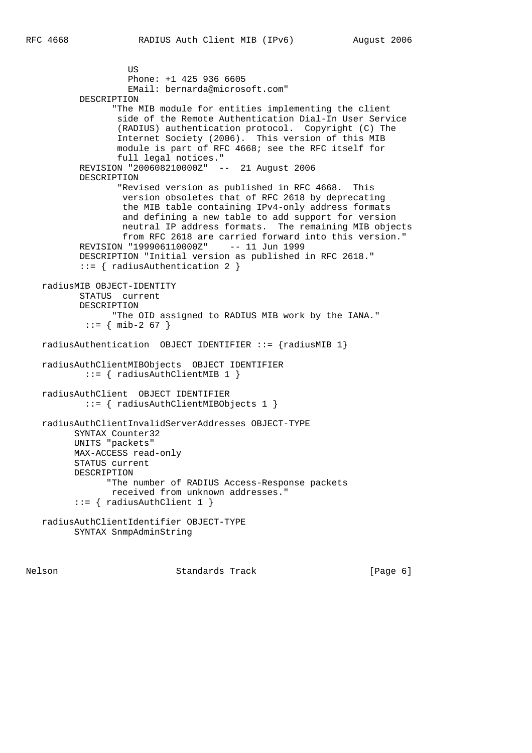US DE L'ANGELIA DE L'ANGELIA DE L'ANGELIA DE L'ANGELIA DE L'ANGELIA DE L'ANGELIA DE L'ANGELIA DE L'ANGELIA DE Phone: +1 425 936 6605 EMail: bernarda@microsoft.com" DESCRIPTION "The MIB module for entities implementing the client side of the Remote Authentication Dial-In User Service (RADIUS) authentication protocol. Copyright (C) The Internet Society (2006). This version of this MIB module is part of RFC 4668; see the RFC itself for full legal notices." REVISION "200608210000Z" -- 21 August 2006 DESCRIPTION "Revised version as published in RFC 4668. This version obsoletes that of RFC 2618 by deprecating the MIB table containing IPv4-only address formats and defining a new table to add support for version neutral IP address formats. The remaining MIB objects from RFC 2618 are carried forward into this version." REVISION "199906110000Z" -- 11 Jun 1999 DESCRIPTION "Initial version as published in RFC 2618." ::= { radiusAuthentication 2 } radiusMIB OBJECT-IDENTITY STATUS current DESCRIPTION "The OID assigned to RADIUS MIB work by the IANA."  $::=$  { mib-2 67 } radiusAuthentication OBJECT IDENTIFIER ::= {radiusMIB 1} radiusAuthClientMIBObjects OBJECT IDENTIFIER ::= { radiusAuthClientMIB 1 } radiusAuthClient OBJECT IDENTIFIER ::= { radiusAuthClientMIBObjects 1 } radiusAuthClientInvalidServerAddresses OBJECT-TYPE SYNTAX Counter32 UNITS "packets" MAX-ACCESS read-only STATUS current DESCRIPTION "The number of RADIUS Access-Response packets received from unknown addresses." ::= { radiusAuthClient 1 } radiusAuthClientIdentifier OBJECT-TYPE SYNTAX SnmpAdminString

Nelson **Standards Track** [Page 6]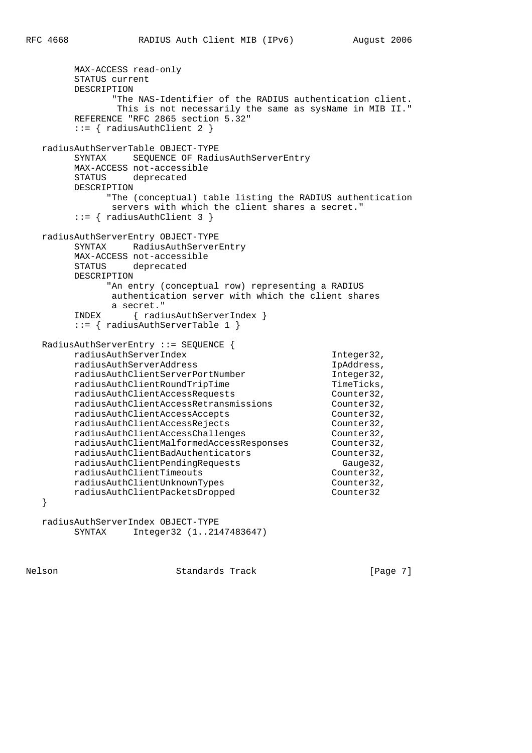```
 MAX-ACCESS read-only
          STATUS current
          DESCRIPTION
                  "The NAS-Identifier of the RADIUS authentication client.
                   This is not necessarily the same as sysName in MIB II."
          REFERENCE "RFC 2865 section 5.32"
          ::= { radiusAuthClient 2 }
   radiusAuthServerTable OBJECT-TYPE
          SYNTAX SEQUENCE OF RadiusAuthServerEntry
          MAX-ACCESS not-accessible
          STATUS deprecated
          DESCRIPTION
                 "The (conceptual) table listing the RADIUS authentication
                  servers with which the client shares a secret."
          ::= { radiusAuthClient 3 }
   radiusAuthServerEntry OBJECT-TYPE
          SYNTAX RadiusAuthServerEntry
          MAX-ACCESS not-accessible
          STATUS deprecated
          DESCRIPTION
                 "An entry (conceptual row) representing a RADIUS
                  authentication server with which the client shares
                  a secret."
          INDEX { radiusAuthServerIndex }
          ::= { radiusAuthServerTable 1 }
   RadiusAuthServerEntry ::= SEQUENCE {
          radiusAuthServerIndex Integer32,
          radiusAuthServerAddress IpAddress,
          radiusAuthClientServerPortNumber Integer32,
         radiusAuthClientRoundTripTime TimeTicks,
         \verb|radiusAuthorElements| \verb|codiusAuthorClientAccessReturns| \verb|codiusAuthor32|, \verb|radiusAuthor32|, \verb|radiusAuthor32|, \verb|radiusAuthor32|, \verb|radiusAuthor32|, \verb|radius4|, \verb|adius4|, \verb|adius4|, \verb|adius4|, \verb|adius4|, \verb|adius4|, \verb|adius4|, \verb|adius4|, \verb|adius4|, \verb|adius4|, \verb|adius4|, \verb|adius4|, \verb|adius4|, \verb|adius4|, \verb|adius4|, \verb|adius4|, \verb|adius4|, \verb|adius4|, \verb|adius4|, \verbradiusAuthClientAccessRetransmissions
          radiusAuthClientAccessAccepts Counter32,
          radiusAuthClientAccessRejects Counter32,
         radiusAuthClientAccessChallenges Counter32,
          radiusAuthClientMalformedAccessResponses Counter32,
          radiusAuthClientBadAuthenticators Counter32,
 radiusAuthClientPendingRequests Gauge32,
 radiusAuthClientTimeouts Counter32,
          radiusAuthClientUnknownTypes Counter32,
          radiusAuthClientPacketsDropped Counter32
    }
```
 radiusAuthServerIndex OBJECT-TYPE SYNTAX Integer32 (1..2147483647)

Nelson **Standards Track** [Page 7]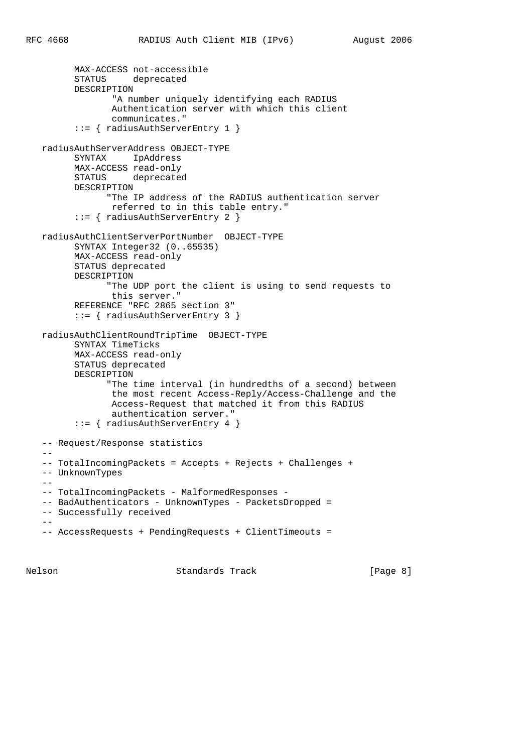```
 MAX-ACCESS not-accessible
         STATUS deprecated
         DESCRIPTION
                 "A number uniquely identifying each RADIUS
                 Authentication server with which this client
                 communicates."
          ::= { radiusAuthServerEntry 1 }
   radiusAuthServerAddress OBJECT-TYPE
         SYNTAX IpAddress
         MAX-ACCESS read-only
         STATUS deprecated
         DESCRIPTION
                "The IP address of the RADIUS authentication server
                referred to in this table entry."
          ::= { radiusAuthServerEntry 2 }
   radiusAuthClientServerPortNumber OBJECT-TYPE
         SYNTAX Integer32 (0..65535)
         MAX-ACCESS read-only
         STATUS deprecated
         DESCRIPTION
                "The UDP port the client is using to send requests to
                 this server."
         REFERENCE "RFC 2865 section 3"
          ::= { radiusAuthServerEntry 3 }
   radiusAuthClientRoundTripTime OBJECT-TYPE
         SYNTAX TimeTicks
         MAX-ACCESS read-only
         STATUS deprecated
         DESCRIPTION
                "The time interval (in hundredths of a second) between
                 the most recent Access-Reply/Access-Challenge and the
                 Access-Request that matched it from this RADIUS
                 authentication server."
          ::= { radiusAuthServerEntry 4 }
   -- Request/Response statistics
  - -- TotalIncomingPackets = Accepts + Rejects + Challenges +
   -- UnknownTypes
  --- TotalIncomingPackets - MalformedResponses -
   -- BadAuthenticators - UnknownTypes - PacketsDropped =
   -- Successfully received
 --
    -- AccessRequests + PendingRequests + ClientTimeouts =
```
Nelson **Standards Track** [Page 8]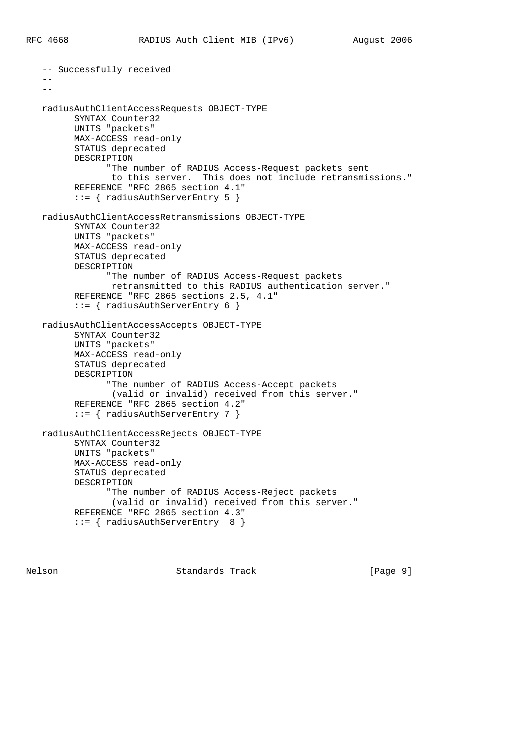-- Successfully received  $-$  - radiusAuthClientAccessRequests OBJECT-TYPE SYNTAX Counter32 UNITS "packets" MAX-ACCESS read-only STATUS deprecated DESCRIPTION "The number of RADIUS Access-Request packets sent to this server. This does not include retransmissions." REFERENCE "RFC 2865 section 4.1" ::= { radiusAuthServerEntry 5 } radiusAuthClientAccessRetransmissions OBJECT-TYPE SYNTAX Counter32 UNITS "packets" MAX-ACCESS read-only STATUS deprecated DESCRIPTION "The number of RADIUS Access-Request packets retransmitted to this RADIUS authentication server." REFERENCE "RFC 2865 sections 2.5, 4.1" ::= { radiusAuthServerEntry 6 } radiusAuthClientAccessAccepts OBJECT-TYPE SYNTAX Counter32 UNITS "packets" MAX-ACCESS read-only STATUS deprecated DESCRIPTION "The number of RADIUS Access-Accept packets (valid or invalid) received from this server." REFERENCE "RFC 2865 section 4.2" ::= { radiusAuthServerEntry 7 } radiusAuthClientAccessRejects OBJECT-TYPE SYNTAX Counter32 UNITS "packets" MAX-ACCESS read-only STATUS deprecated DESCRIPTION "The number of RADIUS Access-Reject packets (valid or invalid) received from this server." REFERENCE "RFC 2865 section 4.3" ::= { radiusAuthServerEntry 8 }

Nelson **Standards Track** [Page 9]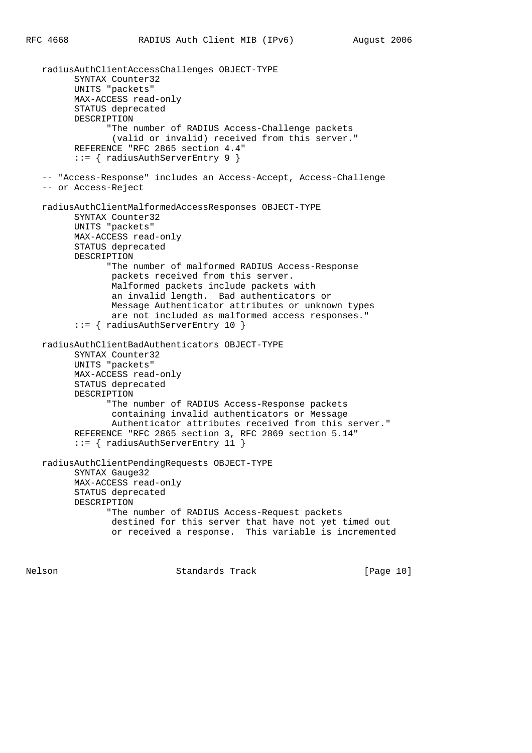radiusAuthClientAccessChallenges OBJECT-TYPE SYNTAX Counter32 UNITS "packets" MAX-ACCESS read-only STATUS deprecated DESCRIPTION "The number of RADIUS Access-Challenge packets (valid or invalid) received from this server." REFERENCE "RFC 2865 section 4.4" ::= { radiusAuthServerEntry 9 } -- "Access-Response" includes an Access-Accept, Access-Challenge -- or Access-Reject radiusAuthClientMalformedAccessResponses OBJECT-TYPE SYNTAX Counter32 UNITS "packets" MAX-ACCESS read-only STATUS deprecated DESCRIPTION "The number of malformed RADIUS Access-Response packets received from this server. Malformed packets include packets with an invalid length. Bad authenticators or Message Authenticator attributes or unknown types are not included as malformed access responses." ::= { radiusAuthServerEntry 10 } radiusAuthClientBadAuthenticators OBJECT-TYPE SYNTAX Counter32 UNITS "packets" MAX-ACCESS read-only STATUS deprecated DESCRIPTION "The number of RADIUS Access-Response packets containing invalid authenticators or Message Authenticator attributes received from this server." REFERENCE "RFC 2865 section 3, RFC 2869 section 5.14" ::= { radiusAuthServerEntry 11 } radiusAuthClientPendingRequests OBJECT-TYPE SYNTAX Gauge32 MAX-ACCESS read-only STATUS deprecated DESCRIPTION "The number of RADIUS Access-Request packets destined for this server that have not yet timed out or received a response. This variable is incremented

Nelson Standards Track [Page 10]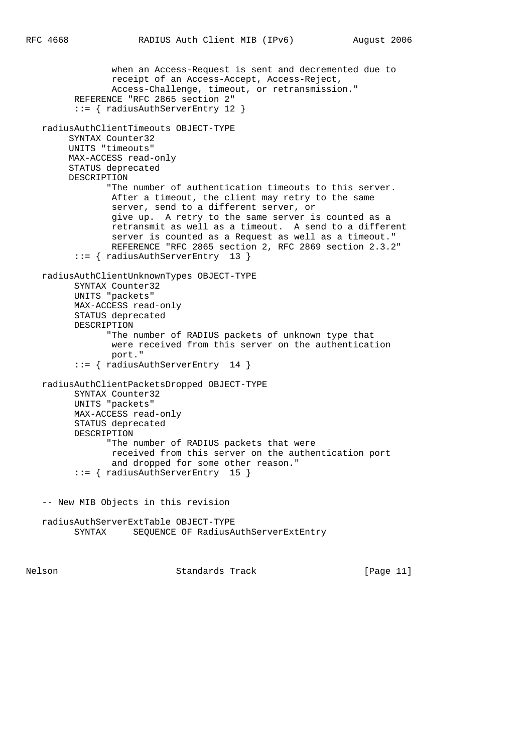```
 when an Access-Request is sent and decremented due to
              receipt of an Access-Accept, Access-Reject,
              Access-Challenge, timeout, or retransmission."
       REFERENCE "RFC 2865 section 2"
       ::= { radiusAuthServerEntry 12 }
 radiusAuthClientTimeouts OBJECT-TYPE
      SYNTAX Counter32
      UNITS "timeouts"
      MAX-ACCESS read-only
      STATUS deprecated
      DESCRIPTION
             "The number of authentication timeouts to this server.
              After a timeout, the client may retry to the same
              server, send to a different server, or
              give up. A retry to the same server is counted as a
              retransmit as well as a timeout. A send to a different
              server is counted as a Request as well as a timeout."
              REFERENCE "RFC 2865 section 2, RFC 2869 section 2.3.2"
       ::= { radiusAuthServerEntry 13 }
 radiusAuthClientUnknownTypes OBJECT-TYPE
       SYNTAX Counter32
       UNITS "packets"
       MAX-ACCESS read-only
       STATUS deprecated
       DESCRIPTION
             "The number of RADIUS packets of unknown type that
              were received from this server on the authentication
              port."
       ::= { radiusAuthServerEntry 14 }
 radiusAuthClientPacketsDropped OBJECT-TYPE
       SYNTAX Counter32
       UNITS "packets"
       MAX-ACCESS read-only
       STATUS deprecated
       DESCRIPTION
             "The number of RADIUS packets that were
              received from this server on the authentication port
              and dropped for some other reason."
       ::= { radiusAuthServerEntry 15 }
 -- New MIB Objects in this revision
 radiusAuthServerExtTable OBJECT-TYPE
       SYNTAX SEQUENCE OF RadiusAuthServerExtEntry
```
Nelson Standards Track [Page 11]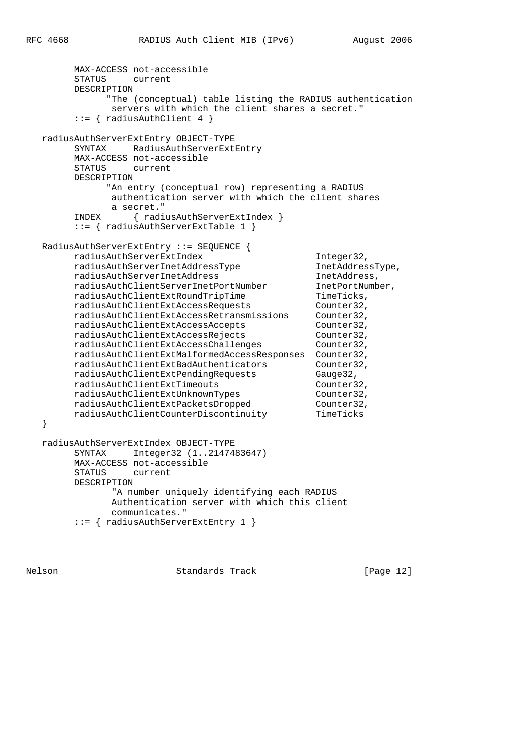```
 MAX-ACCESS not-accessible
        STATUS current
        DESCRIPTION
             "The (conceptual) table listing the RADIUS authentication
              servers with which the client shares a secret."
         ::= { radiusAuthClient 4 }
   radiusAuthServerExtEntry OBJECT-TYPE
        SYNTAX RadiusAuthServerExtEntry
        MAX-ACCESS not-accessible
        STATUS current
        DESCRIPTION
              "An entry (conceptual row) representing a RADIUS
              authentication server with which the client shares
              a secret."
        INDEX { radiusAuthServerExtIndex }
        ::= { radiusAuthServerExtTable 1 }
   RadiusAuthServerExtEntry ::= SEQUENCE {
       radiusAuthServerExtIndex Integer32,<br>
radiusAuthServerInetAddressType InetAddressType,<br>
radiusAuthSexuerInetAddressType InetAddressType,
 radiusAuthServerInetAddressType InetAddressType,
 radiusAuthServerInetAddress InetAddress,
 radiusAuthClientServerInetPortNumber InetPortNumber,
 radiusAuthClientExtRoundTripTime TimeTicks,
 radiusAuthClientExtAccessRequests Counter32,
 radiusAuthClientExtAccessRetransmissions Counter32,
 radiusAuthClientExtAccessAccepts Counter32,
 radiusAuthClientExtAccessRejects Counter32,
 radiusAuthClientExtAccessChallenges Counter32,
        radiusAuthClientExtMalformedAccessResponses Counter32,
 radiusAuthClientExtBadAuthenticators Counter32,
 radiusAuthClientExtPendingRequests Gauge32,
 radiusAuthClientExtTimeouts Counter32,
 radiusAuthClientExtUnknownTypes Counter32,
 radiusAuthClientExtPacketsDropped Counter32,
 radiusAuthClientCounterDiscontinuity TimeTicks
   }
   radiusAuthServerExtIndex OBJECT-TYPE
        SYNTAX Integer32 (1..2147483647)
        MAX-ACCESS not-accessible
        STATUS current
        DESCRIPTION
               "A number uniquely identifying each RADIUS
               Authentication server with which this client
               communicates."
        ::= { radiusAuthServerExtEntry 1 }
```
Nelson Standards Track [Page 12]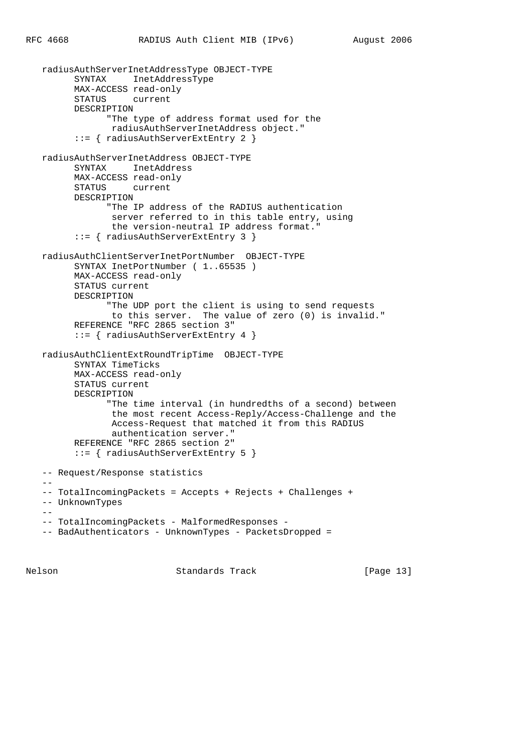```
 radiusAuthServerInetAddressType OBJECT-TYPE
         SYNTAX InetAddressType
         MAX-ACCESS read-only
         STATUS current
         DESCRIPTION
                "The type of address format used for the
                radiusAuthServerInetAddress object."
          ::= { radiusAuthServerExtEntry 2 }
   radiusAuthServerInetAddress OBJECT-TYPE
         SYNTAX InetAddress
         MAX-ACCESS read-only
         STATUS current
         DESCRIPTION
                "The IP address of the RADIUS authentication
                server referred to in this table entry, using
                 the version-neutral IP address format."
          ::= { radiusAuthServerExtEntry 3 }
   radiusAuthClientServerInetPortNumber OBJECT-TYPE
         SYNTAX InetPortNumber ( 1..65535 )
         MAX-ACCESS read-only
         STATUS current
         DESCRIPTION
                "The UDP port the client is using to send requests
                 to this server. The value of zero (0) is invalid."
         REFERENCE "RFC 2865 section 3"
         ::= { radiusAuthServerExtEntry 4 }
   radiusAuthClientExtRoundTripTime OBJECT-TYPE
         SYNTAX TimeTicks
         MAX-ACCESS read-only
         STATUS current
         DESCRIPTION
                "The time interval (in hundredths of a second) between
                 the most recent Access-Reply/Access-Challenge and the
                Access-Request that matched it from this RADIUS
                 authentication server."
         REFERENCE "RFC 2865 section 2"
          ::= { radiusAuthServerExtEntry 5 }
   -- Request/Response statistics
  - -- TotalIncomingPackets = Accepts + Rejects + Challenges +
   -- UnknownTypes
 --
  -- TotalIncomingPackets - MalformedResponses -
   -- BadAuthenticators - UnknownTypes - PacketsDropped =
```
Nelson Standards Track [Page 13]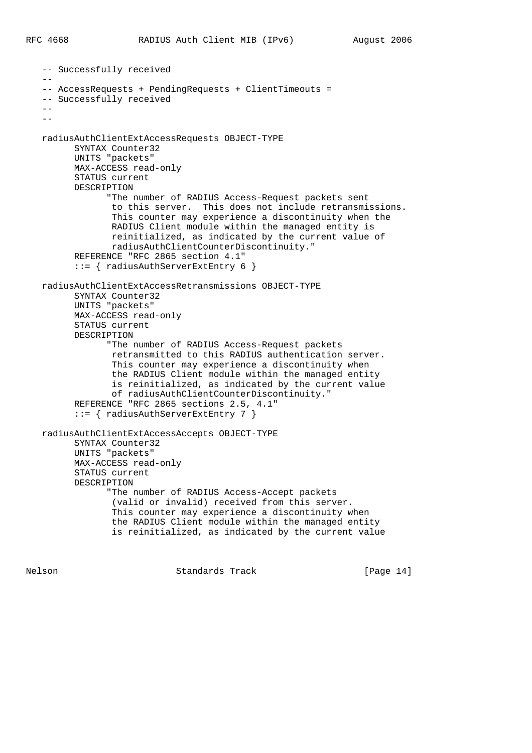```
 -- Successfully received
 --
   -- AccessRequests + PendingRequests + ClientTimeouts =
   -- Successfully received
  - --
   radiusAuthClientExtAccessRequests OBJECT-TYPE
         SYNTAX Counter32
         UNITS "packets"
         MAX-ACCESS read-only
         STATUS current
         DESCRIPTION
                "The number of RADIUS Access-Request packets sent
                 to this server. This does not include retransmissions.
                 This counter may experience a discontinuity when the
                 RADIUS Client module within the managed entity is
                 reinitialized, as indicated by the current value of
                 radiusAuthClientCounterDiscontinuity."
          REFERENCE "RFC 2865 section 4.1"
          ::= { radiusAuthServerExtEntry 6 }
   radiusAuthClientExtAccessRetransmissions OBJECT-TYPE
          SYNTAX Counter32
         UNITS "packets"
         MAX-ACCESS read-only
         STATUS current
         DESCRIPTION
                "The number of RADIUS Access-Request packets
                 retransmitted to this RADIUS authentication server.
                 This counter may experience a discontinuity when
                 the RADIUS Client module within the managed entity
                 is reinitialized, as indicated by the current value
                 of radiusAuthClientCounterDiscontinuity."
          REFERENCE "RFC 2865 sections 2.5, 4.1"
          ::= { radiusAuthServerExtEntry 7 }
   radiusAuthClientExtAccessAccepts OBJECT-TYPE
         SYNTAX Counter32
         UNITS "packets"
         MAX-ACCESS read-only
          STATUS current
         DESCRIPTION
                "The number of RADIUS Access-Accept packets
                 (valid or invalid) received from this server.
                 This counter may experience a discontinuity when
                 the RADIUS Client module within the managed entity
                 is reinitialized, as indicated by the current value
```
Nelson Standards Track [Page 14]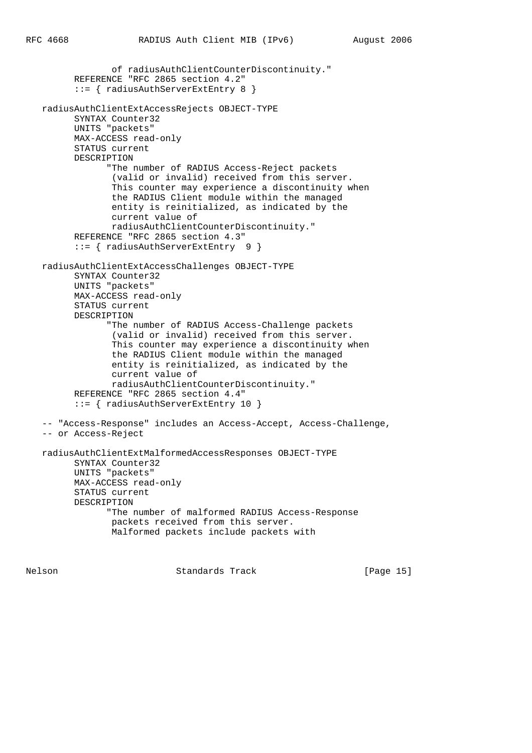```
 of radiusAuthClientCounterDiscontinuity."
       REFERENCE "RFC 2865 section 4.2"
       ::= { radiusAuthServerExtEntry 8 }
 radiusAuthClientExtAccessRejects OBJECT-TYPE
       SYNTAX Counter32
       UNITS "packets"
       MAX-ACCESS read-only
       STATUS current
       DESCRIPTION
             "The number of RADIUS Access-Reject packets
              (valid or invalid) received from this server.
              This counter may experience a discontinuity when
              the RADIUS Client module within the managed
              entity is reinitialized, as indicated by the
              current value of
              radiusAuthClientCounterDiscontinuity."
       REFERENCE "RFC 2865 section 4.3"
       ::= { radiusAuthServerExtEntry 9 }
 radiusAuthClientExtAccessChallenges OBJECT-TYPE
       SYNTAX Counter32
       UNITS "packets"
       MAX-ACCESS read-only
       STATUS current
       DESCRIPTION
             "The number of RADIUS Access-Challenge packets
              (valid or invalid) received from this server.
              This counter may experience a discontinuity when
              the RADIUS Client module within the managed
              entity is reinitialized, as indicated by the
              current value of
              radiusAuthClientCounterDiscontinuity."
       REFERENCE "RFC 2865 section 4.4"
       ::= { radiusAuthServerExtEntry 10 }
 -- "Access-Response" includes an Access-Accept, Access-Challenge,
 -- or Access-Reject
 radiusAuthClientExtMalformedAccessResponses OBJECT-TYPE
       SYNTAX Counter32
       UNITS "packets"
       MAX-ACCESS read-only
       STATUS current
       DESCRIPTION
             "The number of malformed RADIUS Access-Response
              packets received from this server.
              Malformed packets include packets with
```
Nelson Standards Track [Page 15]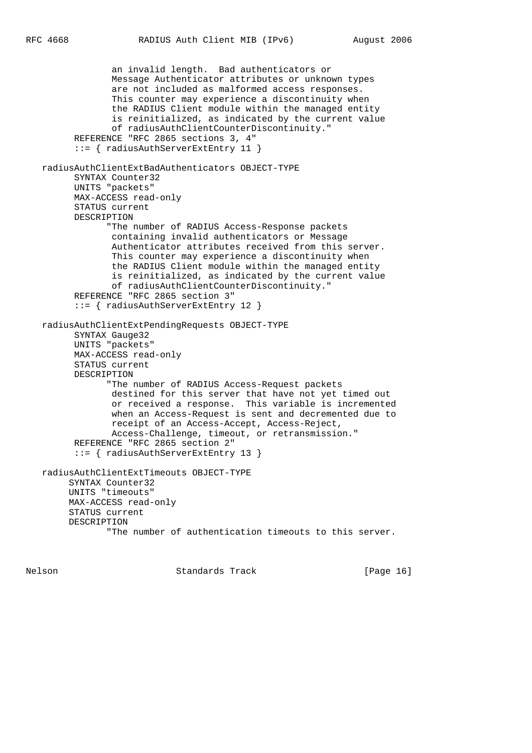```
 an invalid length. Bad authenticators or
              Message Authenticator attributes or unknown types
              are not included as malformed access responses.
              This counter may experience a discontinuity when
              the RADIUS Client module within the managed entity
              is reinitialized, as indicated by the current value
              of radiusAuthClientCounterDiscontinuity."
       REFERENCE "RFC 2865 sections 3, 4"
       ::= { radiusAuthServerExtEntry 11 }
 radiusAuthClientExtBadAuthenticators OBJECT-TYPE
       SYNTAX Counter32
       UNITS "packets"
       MAX-ACCESS read-only
       STATUS current
       DESCRIPTION
             "The number of RADIUS Access-Response packets
              containing invalid authenticators or Message
              Authenticator attributes received from this server.
              This counter may experience a discontinuity when
              the RADIUS Client module within the managed entity
              is reinitialized, as indicated by the current value
              of radiusAuthClientCounterDiscontinuity."
       REFERENCE "RFC 2865 section 3"
       ::= { radiusAuthServerExtEntry 12 }
 radiusAuthClientExtPendingRequests OBJECT-TYPE
       SYNTAX Gauge32
       UNITS "packets"
       MAX-ACCESS read-only
       STATUS current
       DESCRIPTION
             "The number of RADIUS Access-Request packets
              destined for this server that have not yet timed out
              or received a response. This variable is incremented
              when an Access-Request is sent and decremented due to
              receipt of an Access-Accept, Access-Reject,
              Access-Challenge, timeout, or retransmission."
       REFERENCE "RFC 2865 section 2"
       ::= { radiusAuthServerExtEntry 13 }
 radiusAuthClientExtTimeouts OBJECT-TYPE
      SYNTAX Counter32
      UNITS "timeouts"
      MAX-ACCESS read-only
      STATUS current
      DESCRIPTION
             "The number of authentication timeouts to this server.
```
Nelson Standards Track [Page 16]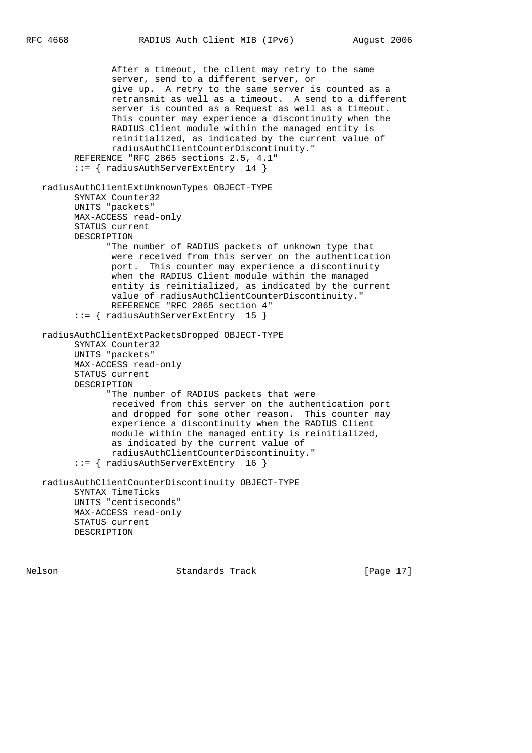```
 After a timeout, the client may retry to the same
              server, send to a different server, or
              give up. A retry to the same server is counted as a
              retransmit as well as a timeout. A send to a different
              server is counted as a Request as well as a timeout.
              This counter may experience a discontinuity when the
              RADIUS Client module within the managed entity is
              reinitialized, as indicated by the current value of
              radiusAuthClientCounterDiscontinuity."
       REFERENCE "RFC 2865 sections 2.5, 4.1"
       ::= { radiusAuthServerExtEntry 14 }
 radiusAuthClientExtUnknownTypes OBJECT-TYPE
       SYNTAX Counter32
       UNITS "packets"
       MAX-ACCESS read-only
       STATUS current
       DESCRIPTION
             "The number of RADIUS packets of unknown type that
              were received from this server on the authentication
              port. This counter may experience a discontinuity
              when the RADIUS Client module within the managed
              entity is reinitialized, as indicated by the current
              value of radiusAuthClientCounterDiscontinuity."
              REFERENCE "RFC 2865 section 4"
       ::= { radiusAuthServerExtEntry 15 }
 radiusAuthClientExtPacketsDropped OBJECT-TYPE
       SYNTAX Counter32
       UNITS "packets"
       MAX-ACCESS read-only
       STATUS current
       DESCRIPTION
             "The number of RADIUS packets that were
              received from this server on the authentication port
              and dropped for some other reason. This counter may
              experience a discontinuity when the RADIUS Client
              module within the managed entity is reinitialized,
              as indicated by the current value of
              radiusAuthClientCounterDiscontinuity."
       ::= { radiusAuthServerExtEntry 16 }
 radiusAuthClientCounterDiscontinuity OBJECT-TYPE
       SYNTAX TimeTicks
       UNITS "centiseconds"
       MAX-ACCESS read-only
       STATUS current
       DESCRIPTION
```
Nelson Standards Track [Page 17]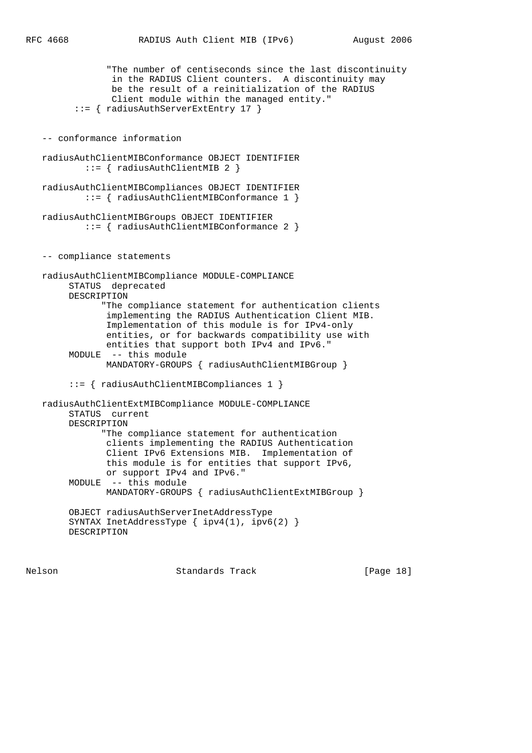```
 "The number of centiseconds since the last discontinuity
              in the RADIUS Client counters. A discontinuity may
              be the result of a reinitialization of the RADIUS
              Client module within the managed entity."
       ::= { radiusAuthServerExtEntry 17 }
 -- conformance information
 radiusAuthClientMIBConformance OBJECT IDENTIFIER
         ::= { radiusAuthClientMIB 2 }
 radiusAuthClientMIBCompliances OBJECT IDENTIFIER
         ::= { radiusAuthClientMIBConformance 1 }
 radiusAuthClientMIBGroups OBJECT IDENTIFIER
         ::= { radiusAuthClientMIBConformance 2 }
 -- compliance statements
 radiusAuthClientMIBCompliance MODULE-COMPLIANCE
      STATUS deprecated
      DESCRIPTION
            "The compliance statement for authentication clients
             implementing the RADIUS Authentication Client MIB.
             Implementation of this module is for IPv4-only
             entities, or for backwards compatibility use with
             entities that support both IPv4 and IPv6."
      MODULE -- this module
            MANDATORY-GROUPS { radiusAuthClientMIBGroup }
      ::= { radiusAuthClientMIBCompliances 1 }
 radiusAuthClientExtMIBCompliance MODULE-COMPLIANCE
      STATUS current
      DESCRIPTION
            "The compliance statement for authentication
             clients implementing the RADIUS Authentication
             Client IPv6 Extensions MIB. Implementation of
             this module is for entities that support IPv6,
            or support IPv4 and IPv6."
      MODULE -- this module
            MANDATORY-GROUPS { radiusAuthClientExtMIBGroup }
      OBJECT radiusAuthServerInetAddressType
      SYNTAX InetAddressType { ipv4(1), ipv6(2) }
      DESCRIPTION
```
Nelson Standards Track [Page 18]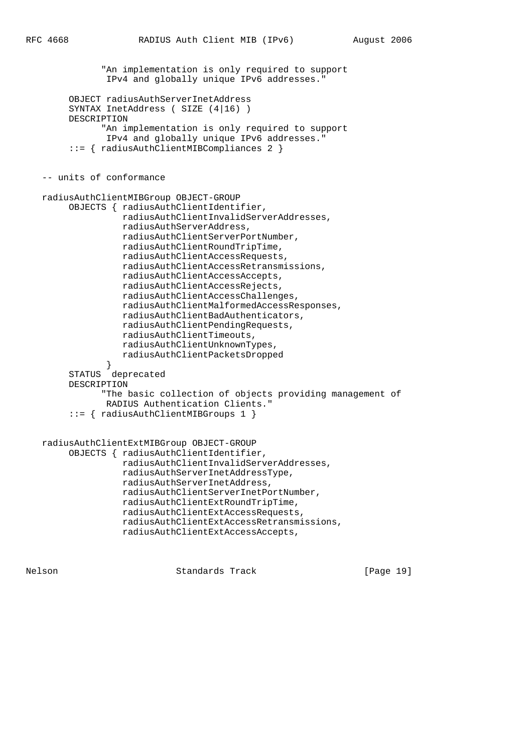```
 "An implementation is only required to support
                IPv4 and globally unique IPv6 addresses."
         OBJECT radiusAuthServerInetAddress
         SYNTAX InetAddress ( SIZE (4|16) )
        DESCRIPTION
               "An implementation is only required to support
               IPv4 and globally unique IPv6 addresses."
         ::= { radiusAuthClientMIBCompliances 2 }
    -- units of conformance
   radiusAuthClientMIBGroup OBJECT-GROUP
         OBJECTS { radiusAuthClientIdentifier,
                   radiusAuthClientInvalidServerAddresses,
                   radiusAuthServerAddress,
                   radiusAuthClientServerPortNumber,
                   radiusAuthClientRoundTripTime,
                   radiusAuthClientAccessRequests,
                   radiusAuthClientAccessRetransmissions,
                   radiusAuthClientAccessAccepts,
                   radiusAuthClientAccessRejects,
                   radiusAuthClientAccessChallenges,
                   radiusAuthClientMalformedAccessResponses,
                   radiusAuthClientBadAuthenticators,
                   radiusAuthClientPendingRequests,
                   radiusAuthClientTimeouts,
                   radiusAuthClientUnknownTypes,
                   radiusAuthClientPacketsDropped
 }
         STATUS deprecated
        DESCRIPTION
               "The basic collection of objects providing management of
               RADIUS Authentication Clients."
         ::= { radiusAuthClientMIBGroups 1 }
   radiusAuthClientExtMIBGroup OBJECT-GROUP
         OBJECTS { radiusAuthClientIdentifier,
                   radiusAuthClientInvalidServerAddresses,
                   radiusAuthServerInetAddressType,
                   radiusAuthServerInetAddress,
                   radiusAuthClientServerInetPortNumber,
                   radiusAuthClientExtRoundTripTime,
                   radiusAuthClientExtAccessRequests,
                   radiusAuthClientExtAccessRetransmissions,
                   radiusAuthClientExtAccessAccepts,
```
Nelson Standards Track [Page 19]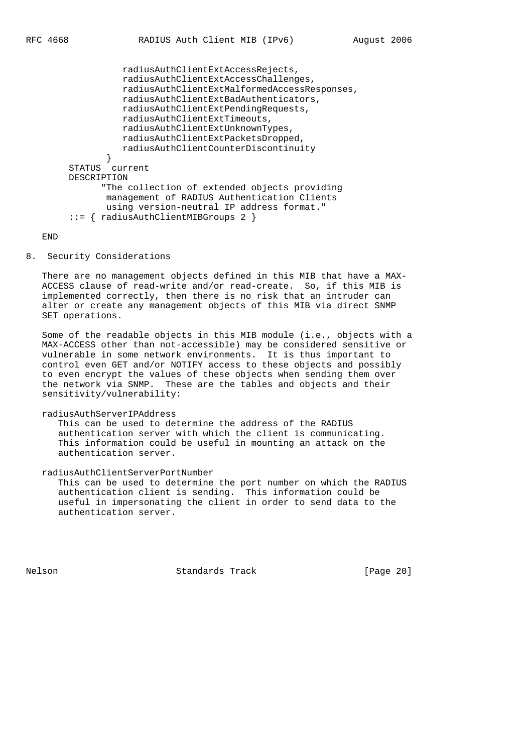```
 radiusAuthClientExtAccessRejects,
                  radiusAuthClientExtAccessChallenges,
                  radiusAuthClientExtMalformedAccessResponses,
                  radiusAuthClientExtBadAuthenticators,
                  radiusAuthClientExtPendingRequests,
                  radiusAuthClientExtTimeouts,
                  radiusAuthClientExtUnknownTypes,
                  radiusAuthClientExtPacketsDropped,
                  radiusAuthClientCounterDiscontinuity
 }
        STATUS current
        DESCRIPTION
               "The collection of extended objects providing
               management of RADIUS Authentication Clients
               using version-neutral IP address format."
```
::= { radiusAuthClientMIBGroups 2 }

END

### 8. Security Considerations

 There are no management objects defined in this MIB that have a MAX- ACCESS clause of read-write and/or read-create. So, if this MIB is implemented correctly, then there is no risk that an intruder can alter or create any management objects of this MIB via direct SNMP SET operations.

 Some of the readable objects in this MIB module (i.e., objects with a MAX-ACCESS other than not-accessible) may be considered sensitive or vulnerable in some network environments. It is thus important to control even GET and/or NOTIFY access to these objects and possibly to even encrypt the values of these objects when sending them over the network via SNMP. These are the tables and objects and their sensitivity/vulnerability:

#### radiusAuthServerIPAddress

 This can be used to determine the address of the RADIUS authentication server with which the client is communicating. This information could be useful in mounting an attack on the authentication server.

### radiusAuthClientServerPortNumber

 This can be used to determine the port number on which the RADIUS authentication client is sending. This information could be useful in impersonating the client in order to send data to the authentication server.

Nelson Standards Track [Page 20]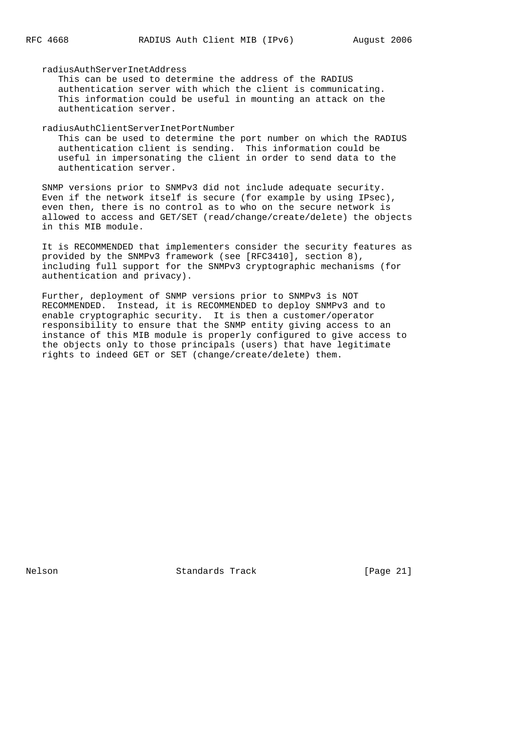radiusAuthServerInetAddress

 This can be used to determine the address of the RADIUS authentication server with which the client is communicating. This information could be useful in mounting an attack on the authentication server.

radiusAuthClientServerInetPortNumber

 This can be used to determine the port number on which the RADIUS authentication client is sending. This information could be useful in impersonating the client in order to send data to the authentication server.

 SNMP versions prior to SNMPv3 did not include adequate security. Even if the network itself is secure (for example by using IPsec), even then, there is no control as to who on the secure network is allowed to access and GET/SET (read/change/create/delete) the objects in this MIB module.

 It is RECOMMENDED that implementers consider the security features as provided by the SNMPv3 framework (see [RFC3410], section 8), including full support for the SNMPv3 cryptographic mechanisms (for authentication and privacy).

 Further, deployment of SNMP versions prior to SNMPv3 is NOT RECOMMENDED. Instead, it is RECOMMENDED to deploy SNMPv3 and to enable cryptographic security. It is then a customer/operator responsibility to ensure that the SNMP entity giving access to an instance of this MIB module is properly configured to give access to the objects only to those principals (users) that have legitimate rights to indeed GET or SET (change/create/delete) them.

Nelson Standards Track [Page 21]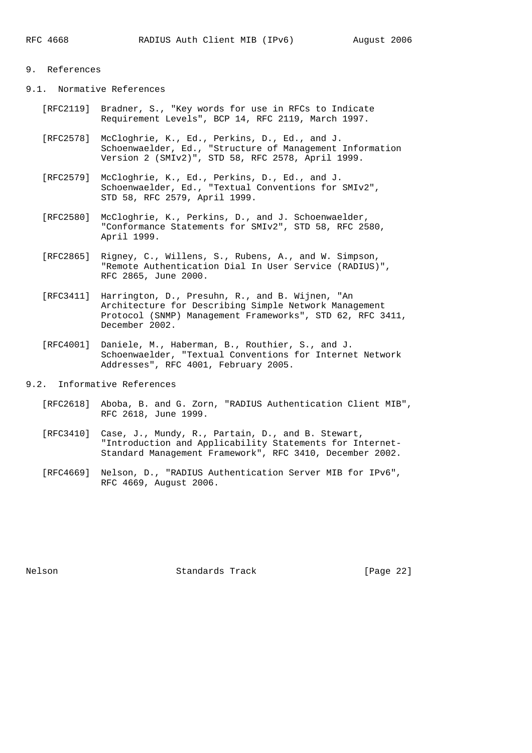# 9. References

9.1. Normative References

- [RFC2119] Bradner, S., "Key words for use in RFCs to Indicate Requirement Levels", BCP 14, RFC 2119, March 1997.
- [RFC2578] McCloghrie, K., Ed., Perkins, D., Ed., and J. Schoenwaelder, Ed., "Structure of Management Information Version 2 (SMIv2)", STD 58, RFC 2578, April 1999.
- [RFC2579] McCloghrie, K., Ed., Perkins, D., Ed., and J. Schoenwaelder, Ed., "Textual Conventions for SMIv2", STD 58, RFC 2579, April 1999.
- [RFC2580] McCloghrie, K., Perkins, D., and J. Schoenwaelder, "Conformance Statements for SMIv2", STD 58, RFC 2580, April 1999.
- [RFC2865] Rigney, C., Willens, S., Rubens, A., and W. Simpson, "Remote Authentication Dial In User Service (RADIUS)", RFC 2865, June 2000.
- [RFC3411] Harrington, D., Presuhn, R., and B. Wijnen, "An Architecture for Describing Simple Network Management Protocol (SNMP) Management Frameworks", STD 62, RFC 3411, December 2002.
- [RFC4001] Daniele, M., Haberman, B., Routhier, S., and J. Schoenwaelder, "Textual Conventions for Internet Network Addresses", RFC 4001, February 2005.
- 9.2. Informative References
	- [RFC2618] Aboba, B. and G. Zorn, "RADIUS Authentication Client MIB", RFC 2618, June 1999.
	- [RFC3410] Case, J., Mundy, R., Partain, D., and B. Stewart, "Introduction and Applicability Statements for Internet- Standard Management Framework", RFC 3410, December 2002.
	- [RFC4669] Nelson, D., "RADIUS Authentication Server MIB for IPv6", RFC 4669, August 2006.

Nelson Standards Track [Page 22]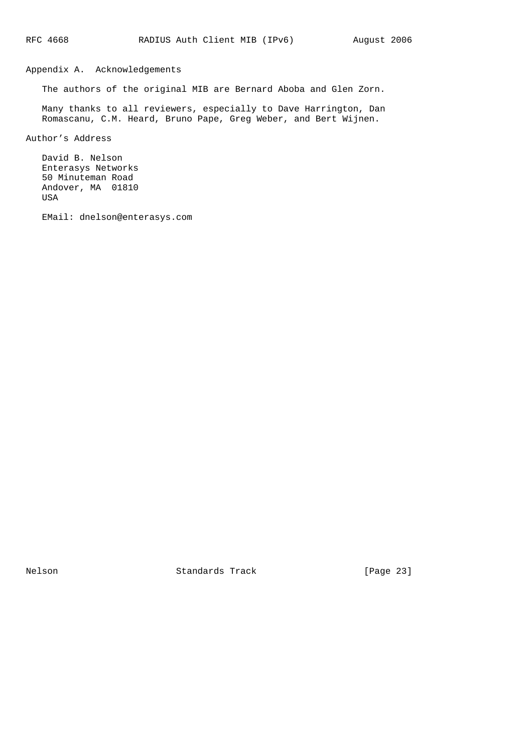# Appendix A. Acknowledgements

The authors of the original MIB are Bernard Aboba and Glen Zorn.

 Many thanks to all reviewers, especially to Dave Harrington, Dan Romascanu, C.M. Heard, Bruno Pape, Greg Weber, and Bert Wijnen.

Author's Address

 David B. Nelson Enterasys Networks 50 Minuteman Road Andover, MA 01810 USA

EMail: dnelson@enterasys.com

Nelson Standards Track [Page 23]